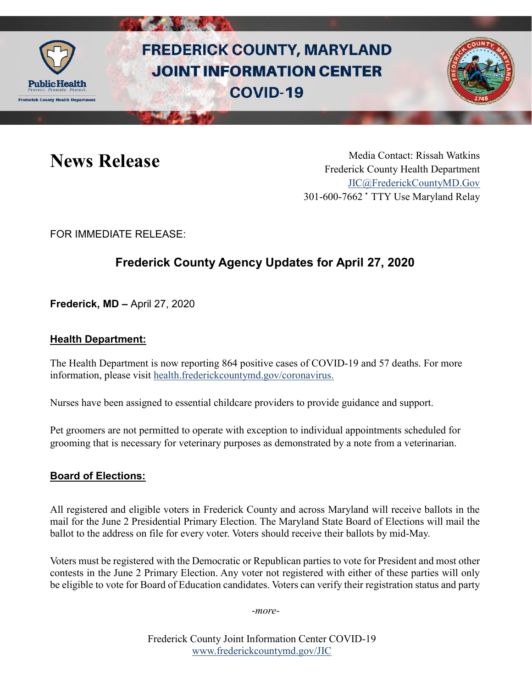

# **FREDERICK COUNTY, MARYLAND JOINT INFORMATION CENTER COVID-19**



News Release Media Contact: Rissah Watkins Frederick County Health Department [JIC@FrederickCountyMD.Gov](mailto:JIC@FrederickCountyMD.Gov) 301-600-7662 • TTY Use Maryland Relay

FOR IMMEDIATE RELEASE:

# **Frederick County Agency Updates for April 27, 2020**

**Frederick, MD –** April 27, 2020

#### **Health Department:**

The Health Department is now reporting 864 positive cases of COVID-19 and 57 deaths. For more information, please visit [health.frederickcountymd.gov/coronavirus.](https://health.frederickcountymd.gov/614/Novel-Coronavirus-COVID-19)

Nurses have been assigned to essential childcare providers to provide guidance and support.

Pet groomers are not permitted to operate with exception to individual appointments scheduled for grooming that is necessary for veterinary purposes as demonstrated by a note from a veterinarian.

#### **Board of Elections:**

All registered and eligible voters in Frederick County and across Maryland will receive ballots in the mail for the June 2 Presidential Primary Election. The Maryland State Board of Elections will mail the ballot to the address on file for every voter. Voters should receive their ballots by mid-May.

Voters must be registered with the Democratic or Republican parties to vote for President and most other contests in the June 2 Primary Election. Any voter not registered with either of these parties will only be eligible to vote for Board of Education candidates. Voters can verify their registration status and party

*-more-*

Frederick County Joint Information Center COVID-19 [www.frederickcountymd.gov/JIC](https://frederickcountymd.gov/JIC)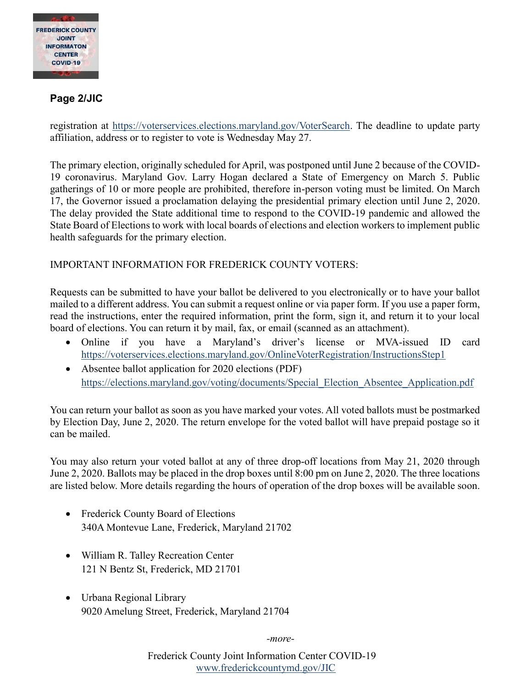

#### **Page 2/JIC**

registration at [https://voterservices.elections.maryland.gov/VoterSearch.](https://voterservices.elections.maryland.gov/VoterSearch) The deadline to update party affiliation, address or to register to vote is Wednesday May 27.

The primary election, originally scheduled for April, was postponed until June 2 because of the COVID-19 coronavirus. Maryland Gov. Larry Hogan declared a State of Emergency on March 5. Public gatherings of 10 or more people are prohibited, therefore in-person voting must be limited. On March 17, the Governor issued a proclamation delaying the presidential primary election until June 2, 2020. The delay provided the State additional time to respond to the COVID-19 pandemic and allowed the State Board of Elections to work with local boards of elections and election workers to implement public health safeguards for the primary election.

#### IMPORTANT INFORMATION FOR FREDERICK COUNTY VOTERS:

Requests can be submitted to have your ballot be delivered to you electronically or to have your ballot mailed to a different address. You can submit a request online or via paper form. If you use a paper form, read the instructions, enter the required information, print the form, sign it, and return it to your local board of elections. You can return it by mail, fax, or email (scanned as an attachment).

- Online if you have a Maryland's driver's license or MVA-issued ID card <https://voterservices.elections.maryland.gov/OnlineVoterRegistration/InstructionsStep1>
- Absentee ballot application for 2020 elections (PDF) [https://elections.maryland.gov/voting/documents/Special\\_Election\\_Absentee\\_Application.pdf](https://elections.maryland.gov/voting/documents/Special_Election_Absentee_Application.pdf)

You can return your ballot as soon as you have marked your votes. All voted ballots must be postmarked by Election Day, June 2, 2020. The return envelope for the voted ballot will have prepaid postage so it can be mailed.

You may also return your voted ballot at any of three drop-off locations from May 21, 2020 through June 2, 2020. Ballots may be placed in the drop boxes until 8:00 pm on June 2, 2020. The three locations are listed below. More details regarding the hours of operation of the drop boxes will be available soon.

- Frederick County Board of Elections 340A Montevue Lane, Frederick, Maryland 21702
- William R. Talley Recreation Center 121 N Bentz St, Frederick, MD 21701
- Urbana Regional Library 9020 Amelung Street, Frederick, Maryland 21704

*-more-*